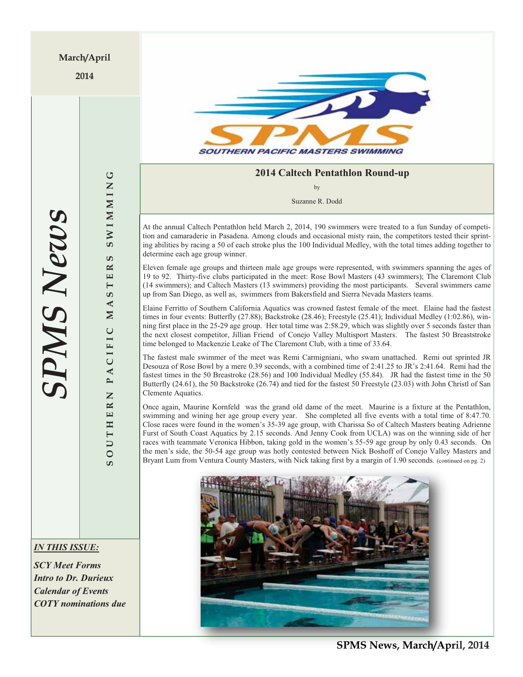**2014** 



### **2014 Caltech Pentathlon Round-up**

by

Suzanne R. Dodd

At the annual Caltech Pentathlon held March 2, 2014, 190 swimmers were treated to a fun Sunday of competition and camaraderie in Pasadena. Among clouds and occasional misty rain, the competitors tested their sprinting abilities by racing a 50 of each stroke plus the 100 Individual Medley, with the total times adding together to determine each age group winner.

Eleven female age groups and thirteen male age groups were represented, with swimmers spanning the ages of 19 to 92. Thirty-five clubs participated in the meet: Rose Bowl Masters (43 swimmers); The Claremont Club (14 swimmers); and Caltech Masters (13 swimmers) providing the most participants. Several swimmers came up from San Diego, as well as, swimmers from Bakersfield and Sierra Nevada Masters teams.

Elaine Ferritto of Southern California Aquatics was crowned fastest female of the meet. Elaine had the fastest times in four events: Butterfly (27.88); Backstroke (28.46); Freestyle (25.41); Individual Medley (1:02.86), winning first place in the 25-29 age group. Her total time was 2:58.29, which was slightly over 5 seconds faster than the next closest competitor, Jillian Friend of Conejo Valley Multisport Masters. The fastest 50 Breaststroke time belonged to Mackenzie Leake of The Claremont Club, with a time of 33.64.

The fastest male swimmer of the meet was Remi Carmigniani, who swam unattached. Remi out sprinted JR Desouza of Rose Bowl by a mere 0.39 seconds, with a combined time of 2:41.25 to JR's 2:41.64. Remi had the fastest times in the 50 Breastroke (28.56) and 100 Individual Medley (55.84). JR had the fastest time in the 50 Butterfly (24.61), the 50 Backstroke (26.74) and tied for the fastest 50 Freestyle (23.03) with John Christl of San Clemente Aquatics.

Once again, Maurine Kornfeld was the grand old dame of the meet. Maurine is a fixture at the Pentathlon, swimming and wining her age group every year. She completed all five events with a total time of 8:47.70. Close races were found in the women's 35-39 age group, with Charissa So of Caltech Masters beating Adrienne Furst of South Coast Aquatics by 2.15 seconds. And Jenny Cook from UCLA) was on the winning side of her races with teammate Veronica Hibbon, taking gold in the women's 55-59 age group by only 0.43 seconds. On the men's side, the 50-54 age group was hotly contested between Nick Boshoff of Conejo Valley Masters and Bryant Lum from Ventura County Masters, with Nick taking first by a margin of 1.90 seconds. (continued on pg. 2)



**SOUTHERN PACIFIC MASTERS SWIMMING**

ACIFIC

 $\overline{\phantom{a}}$ Z  $\approx$ 

THE

 $\overline{\mathsf{C}}$  $\overline{O}$ S.

**SWIMMING** 

ဖာ  $\mathbf{R}$  $\overline{\mathbf{H}}$  $\overline{\phantom{0}}$ ဖာ  $\blacktriangleleft$  $\mathbf{N}$ 

### *IN THIS ISSUE:*

*SCY Meet Forms Intro to Dr. Durieux Calendar of Events COTY nominations due* 

**SPMS News, March/April, 2014 News, March/Apr**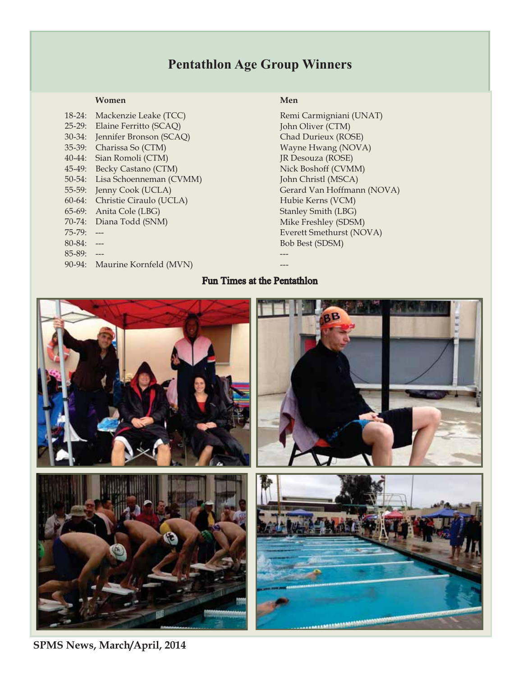## **Pentathlon Age Group Winners**

#### **Women** Men **Men**

| $18-24:$ | Mackenzie Leake (TCC)   | Re: |
|----------|-------------------------|-----|
| $25-29:$ | Elaine Ferritto (SCAQ)  | Jor |
| $30-34:$ | Jennifer Bronson (SCAQ) | Ch  |
| 35-39:   | Charissa So (CTM)       | Wε  |
| 40-44:   | Sian Romoli (CTM)       | IR  |
| 45-49:   | Becky Castano (CTM)     | Ni  |
| 50-54:   | Lisa Schoenneman (CVMM) | Joh |
| 55-59:   | Jenny Cook (UCLA)       | Ge  |
| $60-64:$ | Christie Ciraulo (UCLA) | Hv  |
| 65-69:   | Anita Cole (LBG)        | Sta |
| 70-74:   | Diana Todd (SNM)        | Mi  |
| 75-79:   |                         | Ev  |
| 80-84:   |                         | Bo  |
| 85-89:   |                         |     |
| 90-94:   | Maurine Kornfeld (MVN)  |     |
|          |                         |     |

Remi Carmigniani (UNAT) John Oliver (CTM) Chad Durieux (ROSE) Wayne Hwang (NOVA) JR Desouza (ROSE) Nick Boshoff (CVMM) John Christl (MSCA) Gerard Van Hoffmann (NOVA) Hubie Kerns (VCM) Stanley Smith (LBG) Mike Freshley (SDSM) Everett Smethurst (NOVA) Bob Best (SDSM)

### Fun Times at the Pentathlon



**SPMS News, March/April, 2014**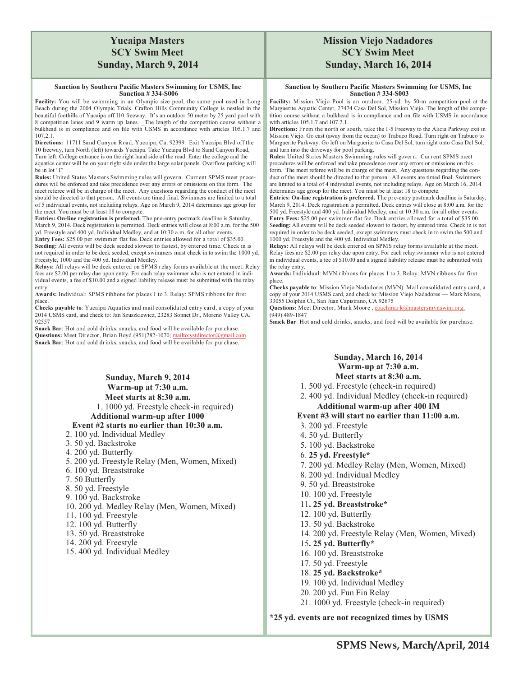### **Yucaipa Masters SCY Swim Meet Sunday, March 9, 2014**

#### **Sanction by Southern Pacific Masters Swimming for USMS, Inc Sanction # 334-S006**

**Facility:** You will be swimming in an Olympic size pool, the same pool used in Long Beach during the 2004 Olympic Trials. Crafton Hills Community College is nestled in the beautiful foothills of Yucaipa off I10 freeway. It's an outdoor 50 meter by 25 yard pool with 8 competition lanes and 9 warm up lanes. The length of the competition course without a bulkhead is in compliance and on file with USMS in accordance with articles 105.1.7 and 107.2.1.

**Directions:** 11711 Sand Canyon Road, Yucaipa, Ca. 92399. Exit Yucaipa Blvd off the 10 freeway, turn North (left) towards Yucaipa. Take Yucaipa Blvd to Sand Canyon Road, Turn left. College entrance is on the right hand side of the road. Enter the college and the aquatics center will be on your right side under the large solar panels. Overflow parking will be in lot "I"

**Rules:** United States Masters Swimming rules will gover n. Current SPMS meet procedures will be enforced and take precedence over any errors or omissions on this form. The meet referee will be in charge of the meet. Any questions regarding the conduct of the meet should be directed to that person. All events are timed final. Swimmers are limited to a total of 5 individual events, not including relays. Age on March 9, 2014 determines age group for the meet. You must be at least 18 to compete.

**Entries: On-line registration is preferred.** The pre-entry postmark deadline is Saturday, March 9, 2014. Deck registration is permitted. Deck entries will close at 8:00 a.m. for the 500 yd. Freestyle and 400 yd. Individual Medley, and at 10:30 a.m. for all other events. **Entry Fees:** \$25.00 per swimmer flat fee. Deck entries allowed for a total of \$35.00. **Seeding:** All events will be deck seeded slowest to fastest, by entered time. Check in is

not required in order to be deck seeded, except swimmers must check in to swim the 1000 yd. Freestyle, 1000 and the 400 yd. Individual Medley. **Relays:** All relays will be deck entered on SPMS relay forms available at the meet. Relay

fees are \$2.00 per relay due upon entry. For each relay swimmer who is not entered in individual events, a fee of \$10.00 and a signed liability release must be submitted with the relay entry.

**Awards:** Individual: SPMS ribbons for places 1 to 3. Relay: SPMS ribbons for first place.

**Checks payable to**: Yucaipa Aquatics and mail consolidated entry card, a copy of your 2014 USMS card, and check to: Jan Szuszkiewicz, 23283 Sonnet Dr., Moreno Valley CA. 92557

**Snack Bar**: Hot and cold drinks, snacks, and food will be available for purchase. Questions: Meet Director, Brian Boyd (951)782-1070; mailto:ystdirector@gmail.com **Snack Bar**: Hot and cold drinks, snacks, and food will be available for purchase.

#### **Sunday, March 9, 2014 Warm-up at 7:30 a.m. Meet starts at 8:30 a.m.** 1. 1000 yd. Freestyle check-in required) **Additional warm-up after 1000 Event #2 starts no earlier than 10:30 a.m.**

#### 2. 100 yd. Individual Medley

- 3. 50 yd. Backstroke
- 4. 200 yd. Butterfly
- 5. 200 yd. Freestyle Relay (Men, Women, Mixed)
- 6. 100 yd. Breaststroke
- 7. 50 Butterfly
- 8. 50 yd. Freestyle
- 9. 100 yd. Backstroke
- 
- 10. 200 yd. Medley Relay (Men, Women, Mixed)
- 11. 100 yd. Freestyle
- 12. 100 yd. Butterfly
- 13. 50 yd. Breaststroke
- 14. 200 yd. Freestyle
- 15. 400 yd. Individual Medley

### **Mission Viejo Nadadores SCY Swim Meet Sunday, March 16, 2014**

#### **Sanction by Southern Pacific Masters Swimming for USMS, Inc Sanction # 334-S003**

**Facility:** Mission Viejo Pool is an outdoor, 25-yd. by 50-m competition pool at the Marguerite Aquatic Center, 27474 Casa Del Sol, Mission Viejo. The length of the competition course without a bulkhead is in compliance and on file with USMS in accordance with articles 105.1.7 and 107.2.1.

Directions: From the north or south, take the I-5 Freeway to the Alicia Parkway exit in Mission Viejo. Go east (away from the ocean) to Trabuco Road. Turn right on Trabuco to Marguerite Parkway. Go left on Marguerite to Casa Del Sol, turn right onto Casa Del Sol, and turn into the driveway for pool parking.

**Rules:** United States Masters Swimming rules will gover n. Current SPMS meet procedures will be enforced and take precedence over any errors or omissions on this form. The meet referee will be in charge of the meet. Any questions regarding the conduct of the meet should be directed to that person. All events are timed final. Swimmers are limited to a total of 4 individual events, not including relays. Age on March 16, 2014 determines age group for the meet. You must be at least 18 to compete.

**Entries: On-line registration is preferred.** The pre-entry postmark deadline is Saturday, March 9, 2014. Deck registration is permitted. Deck entries will close at 8:00 a.m. for the 500 yd. Freestyle and 400 yd. Individual Medley, and at 10:30 a.m. for all other events. **Entry Fees:** \$25.00 per swimmer flat fee. Deck entries allowed for a total of \$35.00.

S**eeding:** All events will be deck seeded slowest to fastest, by entered time. Check in is not required in order to be deck seeded, except swimmers must check in to swim the 500 and 1000 yd. Freestyle and the 400 yd. Individual Medley.

**Relays:** All relays will be deck entered on SPMS relay forms available at the meet. Relay fees are \$2.00 per relay due upon entry. For each relay swimmer who is not entered in individual events, a fee of \$10.00 and a signed liability release must be submitted with the relay entry.

**Awards:** Individual: MVN ribbons for places 1 to 3. Relay: MVN ribbons for first place.

**Checks payable to**: Mission Viejo Nadadores (MVN). Mail consolidated entry car d, a copy of your 2014 USMS card, and check to: Mission Viejo Nadadores — Mark Moore, 33055 Dolphin Ct., San Juan Capistrano, CA 92675

Questions: Meet Director, Mark Moore, coachmark@mastersmynswim.org. (949) 489-1847

**Snack Bar**: Hot and cold drinks, snacks, and food will be available for purchase.

### **Sunday, March 16, 2014 Warm-up at 7:30 a.m. Meet starts at 8:30 a.m.**

1. 500 yd. Freestyle (check-in required)

2. 400 yd. Individual Medley (check-in required)

### **Additional warm-up after 400 IM**

#### **Event #3 will start no earlier than 11:00 a.m.**

- 3. 200 yd. Freestyle
- 4. 50 yd. Butterfly
- 5. 100 yd. Backstroke
- 6. **25 yd. Freestyle\***
- 7. 200 yd. Medley Relay (Men, Women, Mixed)
- 8. 200 yd. Individual Medley
- 9. 50 yd. Breaststroke
- 10. 100 yd. Freestyle
- 11**. 25 yd. Breaststroke\***
- 12. 100 yd. Butterfly
- 
- 13. 50 yd. Backstroke
- 14. 200 yd. Freestyle Relay (Men, Women, Mixed)
- 15**. 25 yd. Butterfly\***
- 16. 100 yd. Breaststroke
- 17. 50 yd. Freestyle
- 18. **25 yd. Backstroke\***
- 19. 100 yd. Individual Medley
- 20. 200 yd. Fun Fin Relay

21. 1000 yd. Freestyle (check-in required)

**\*25 yd. events are not recognized times by USMS**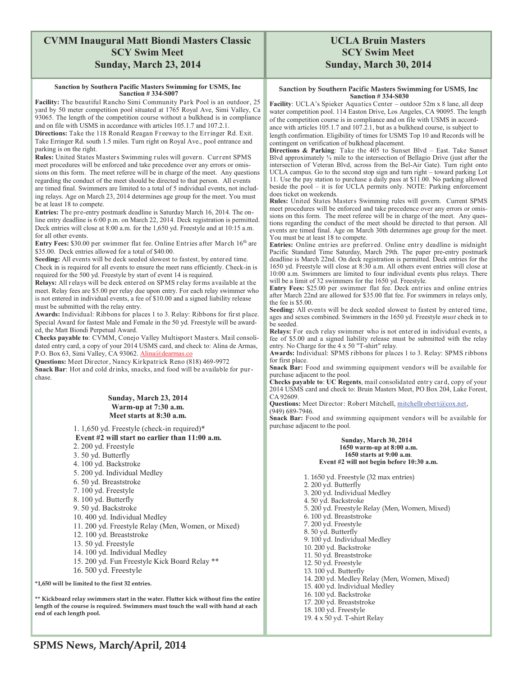### **CVMM Inaugural Matt Biondi Masters Classic SCY Swim Meet Sunday, March 23, 2014**

#### **Sanction by Southern Pacific Masters Swimming for USMS, Inc Sanction # 334-S007**

**Facility:** The beautiful Rancho Simi Community Park Pool is an outdoor, 25 yard by 50 meter competition pool situated at 1765 Royal Ave, Simi Valley, Ca 93065. The length of the competition course without a bulkhead is in compliance and on file with USMS in accordance with articles 105.1.7 and 107.2.1.

**Directions:** Take the 118 Ronald Reagan Freeway to the Erringer Rd. Exit. Take Erringer Rd. south 1.5 miles. Turn right on Royal Ave., pool entrance and parking is on the right.

**Rules:** United States Masters Swimming rules will govern. Current SPMS meet procedures will be enforced and take precedence over any errors or omissions on this form. The meet referee will be in charge of the meet. Any questions regarding the conduct of the meet should be directed to that person. All events are timed final. Swimmers are limited to a total of 5 individual events, not including relays. Age on March 23, 2014 determines age group for the meet. You must be at least 18 to compete.

**Entries:** The pre-entry postmark deadline is Saturday March 16, 2014. The online entry deadline is 6:00 p.m. on March 22, 2014. Deck registration is permitted. Deck entries will close at 8:00 a.m. for the 1,650 yd. Freestyle and at 10:15 a.m. for all other events.

**Entry Fees: \$30.00 per swimmer flat fee. Online Entries after March 16<sup>th</sup> are** \$35.00. Deck entries allowed for a total of \$40.00.

**Seeding:** All events will be deck seeded slowest to fastest, by entered time. Check in is required for all events to ensure the meet runs efficiently. Check-in is required for the 500 yd. Freestyle by start of event 14 is required.

**Relays:** All relays will be deck entered on SPMS relay forms available at the meet. Relay fees are \$5.00 per relay due upon entry. For each relay swimmer who is not entered in individual events, a fee of \$10.00 and a signed liability release must be submitted with the relay entry.

**Awards:** Individual: Ribbons for places 1 to 3. Relay: Ribbons for first place. Special Award for fastest Male and Female in the 50 yd. Freestyle will be awarded, the Matt Biondi Perpetual Award.

**Checks payable to**: CVMM, Conejo Valley Multisport Masters. Mail consolidated entry card, a copy of your 2014 USMS card, and check to: Alina de Armas, P.O. Box 63, Simi Valley, CA 93062. Alina@dearmas.co

**Questions:** Meet Director, Nancy Kirkpatrick Reno (818) 469-9972 **Snack Bar**: Hot and cold drinks, snacks, and food will be available for purchase.

#### **Sunday, March 23, 2014 Warm-up at 7:30 a.m. Meet starts at 8:30 a.m.**

- 1. 1,650 yd. Freestyle (check-in required)\*  **Event #2 will start no earlier than 11:00 a.m.** 2. 200 yd. Freestyle 3. 50 yd. Butterfly 4. 100 yd. Backstroke
- 5. 200 yd. Individual Medley
- 6. 50 yd. Breaststroke
- 7. 100 yd. Freestyle
- 8. 100 yd. Butterfly
- 9. 50 yd. Backstroke
- 10. 400 yd. Individual Medley
- 11. 200 yd. Freestyle Relay (Men, Women, or Mixed)
- 12. 100 yd. Breaststroke
- 13. 50 yd. Freestyle
- 14. 100 yd. Individual Medley
- 
- 15. 200 yd. Fun Freestyle Kick Board Relay \*\*
- 16. 500 yd. Freestyle

**\*1,650 will be limited to the first 32 entries.** 

**\*\* Kickboard relay swimmers start in the water. Flutter kick without fins the entire length of the course is required. Swimmers must touch the wall with hand at each end of each length pool.** 

### **UCLA Bruin Masters SCY Swim Meet Sunday, March 30, 2014**

#### **Sanction by Southern Pacific Masters Swimming for USMS, Inc Sanction # 334-S030**

Facility: UCLA's Spieker Aquatics Center – outdoor 52m x 8 lane, all deep water competition pool. 114 Easton Drive, Los Angeles, CA 90095. The length of the competition course is in compliance and on file with USMS in accord-

ance with articles 105.1.7 and 107.2.1, but as a bulkhead course, is subject to length confirmation. Eligibility of times for USMS Top 10 and Records will be contingent on verification of bulkhead placement.

**Directions & Parking**: Take the 405 to Sunset Blvd – East. Take Sunset Blvd approximately  $\frac{3}{4}$  mile to the intersection of Bellagio Drive (just after the intersection of Veteran Blvd, across from the Bel-Air Gate). Turn right onto UCLA campus. Go to the second stop sign and turn right – toward parking Lot 11. Use the pay station to purchase a daily pass at \$11.00. No parking allowed beside the pool – it is for UCLA permits only. NOTE: Parking enforcement does ticket on weekends.

**Rules:** United States Masters Swimming rules will govern. Current SPMS meet procedures will be enforced and take precedence over any errors or omissions on this form. The meet referee will be in charge of the meet. Any questions regarding the conduct of the meet should be directed to that person. All events are timed final. Age on March 30th determines age group for the meet. You must be at least 18 to compete.

**Entries:** Online entries are preferred. Online entry deadline is midnight Pacific Standard Time Saturday, March 29th. The paper pre-entry postmark deadline is March 22nd. On deck registration is permitted. Deck entries for the 1650 yd. Freestyle will close at  $8:30$  a.m. All others event entries will close at 10:00 a.m. Swimmers are limited to four individual events plus relays. There will be a limit of 32 swimmers for the 1650 yd. Freestyle.

**Entry Fees:** \$25.00 per swimmer flat fee. Deck entries and online entries after March 22nd are allowed for \$35.00 flat fee. For swimmers in relays only, the fee is \$5.00.

**Seeding:** All events will be deck seeded slowest to fastest by entered time, ages and sexes combined. Swimmers in the 1650 yd. Freestyle *must* check in to be seeded.

**Relays:** For each relay swimmer who is not entered in individual events, a fee of \$5.00 and a signed liability release must be submitted with the relay entry. No Charge for the 4 x 50 "T-shirt" relay.

**Awards:** Individual: SPMS ribbons for places 1 to 3. Relay: SPMS ribbons for first place.

**Snack Bar:** Food and swimming equipment vendors will be available for purchase adjacent to the pool.

**Checks payable to**: **UC Regents**, mail consolidated entry card, copy of your 2014 USMS card and check to: Bruin Masters Meet, PO Box 204, Lake Forest, CA 92609.

Questions: Meet Director: Robert Mitchell, mitchellrobert@cox.net, (949) 689-7946.

**Snack Bar:** Food and swimming equipment vendors will be available for purchase adjacent to the pool.

#### **Sunday, March 30, 2014 1650 warm-up at 8:00 a.m. 1650 starts at 9:00 a.m**. **Event #2 will not begin before 10:30 a.m.**

1. 1650 yd. Freestyle (32 max entries) 2. 200 yd. Butterfly 3. 200 yd. Individual Medley 4. 50 yd. Backstroke 5. 200 yd. Freestyle Relay (Men, Women, Mixed) 6. 100 yd. Breaststroke 7. 200 yd. Freestyle 8. 50 yd. Butterfly 9. 100 yd. Individual Medley 10. 200 yd. Backstroke 11. 50 yd. Breaststroke 12. 50 yd. Freestyle 13. 100 yd. Butterfly 14. 200 yd. Medley Relay (Men, Women, Mixed) 15. 400 yd. Individual Medley 16. 100 yd. Backstroke 17. 200 yd. Breaststroke 18. 100 yd. Freestyle 19. 4 x 50 yd. T-shirt Relay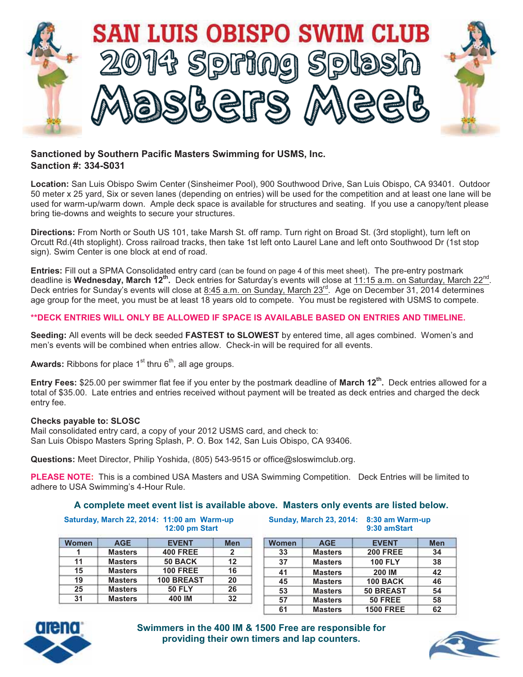

### **Sanctioned by Southern Pacific Masters Swimming for USMS, Inc. Sanction #: 334-S031**

**Location:** San Luis Obispo Swim Center (Sinsheimer Pool), 900 Southwood Drive, San Luis Obispo, CA 93401. Outdoor 50 meter x 25 yard, Six or seven lanes (depending on entries) will be used for the competition and at least one lane will be used for warm-up/warm down. Ample deck space is available for structures and seating. If you use a canopy/tent please bring tie-downs and weights to secure your structures.

**Directions:** From North or South US 101, take Marsh St. off ramp. Turn right on Broad St. (3rd stoplight), turn left on Orcutt Rd.(4th stoplight). Cross railroad tracks, then take 1st left onto Laurel Lane and left onto Southwood Dr (1st stop sign). Swim Center is one block at end of road.

**Entries:** Fill out a SPMA Consolidated entry card (can be found on page 4 of this meet sheet). The pre-entry postmark deadline is Wednesday, March 12<sup>th</sup>. Deck entries for Saturday's events will close at 11:15 a.m. on Saturday, March 22<sup>nd</sup>. Deck entries for Sunday's events will close at 8:45 a.m. on Sunday, March 23<sup>rd</sup>. Age on December 31, 2014 determines age group for the meet, you must be at least 18 years old to compete. You must be registered with USMS to compete.

### **\*\*DECK ENTRIES WILL ONLY BE ALLOWED IF SPACE IS AVAILABLE BASED ON ENTRIES AND TIMELINE.**

**Seeding:** All events will be deck seeded **FASTEST to SLOWEST** by entered time, all ages combined. Women's and men's events will be combined when entries allow. Check-in will be required for all events.

**Awards:** Ribbons for place  $1<sup>st</sup>$  thru  $6<sup>th</sup>$ , all age groups.

**Entry Fees:** \$25.00 per swimmer flat fee if you enter by the postmark deadline of **March 12<sup>th</sup>.** Deck entries allowed for a total of \$35.00. Late entries and entries received without payment will be treated as deck entries and charged the deck entry fee.

#### **Checks payable to: SLOSC**

Mail consolidated entry card, a copy of your 2012 USMS card, and check to: San Luis Obispo Masters Spring Splash, P. O. Box 142, San Luis Obispo, CA 93406.

**Questions:** Meet Director, Philip Yoshida, (805) 543-9515 or office@sloswimclub.org.

**PLEASE NOTE:** This is a combined USA Masters and USA Swimming Competition. Deck Entries will be limited to adhere to USA Swimming's 4-Hour Rule.

#### **A complete meet event list is available above. Masters only events are listed below.**

**Saturday, March 22, 2014: 11:00 am Warm-up 12:00 pm Start** 

| Women | <b>AGE</b>     | <b>EVENT</b>      | Men |
|-------|----------------|-------------------|-----|
| 1     | <b>Masters</b> | <b>400 FREE</b>   | 2   |
| 11    | <b>Masters</b> | 50 BACK           | 12  |
| 15    | <b>Masters</b> | <b>100 FREE</b>   | 16  |
| 19    | <b>Masters</b> | <b>100 BREAST</b> | 20  |
| 25    | <b>Masters</b> | <b>50 FLY</b>     | 26  |
| 31    | <b>Masters</b> | 400 IM            | 32  |

**Sunday, March 23, 2014: 8:30 am Warm-up 9:30 amStart** 

| Women | <b>AGE</b>     | <b>EVENT</b>     | <b>Men</b> |
|-------|----------------|------------------|------------|
| 33    | <b>Masters</b> | <b>200 FREE</b>  | 34         |
| 37    | <b>Masters</b> | <b>100 FLY</b>   | 38         |
| 41    | <b>Masters</b> | <b>200 IM</b>    | 42         |
| 45    | <b>Masters</b> | <b>100 BACK</b>  | 46         |
| 53    | <b>Masters</b> | <b>50 BREAST</b> | 54         |
| 57    | <b>Masters</b> | <b>50 FREE</b>   | 58         |
| 61    | <b>Masters</b> | <b>1500 FREE</b> | 62         |



**Swimmers in the 400 IM & 1500 Free are responsible for providing their own timers and lap counters.** 

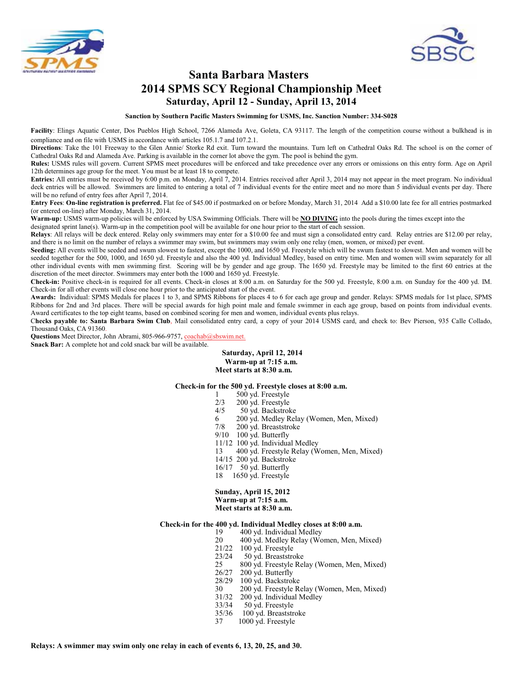



## **Santa Barbara Masters 2014 SPMS SCY Regional Championship Meet Saturday, April 12 - Sunday, April 13, 2014**

**Sanction by Southern Pacific Masters Swimming for USMS, Inc. Sanction Number: 334-S028**

Facility: Elings Aquatic Center, Dos Pueblos High School, 7266 Alameda Ave, Goleta, CA 93117. The length of the competition course without a bulkhead is in compliance and on file with USMS in accordance with articles 105.1.7 and 107.2.1.

**Directions**: Take the 101 Freeway to the Glen Annie/ Storke Rd exit. Turn toward the mountains. Turn left on Cathedral Oaks Rd. The school is on the corner of Cathedral Oaks Rd and Alameda Ave. Parking is available in the corner lot above the gym. The pool is behind the gym.

**Rules:** USMS rules will govern. Current SPMS meet procedures will be enforced and take precedence over any errors or omissions on this entry form. Age on April 12th determines age group for the meet. You must be at least 18 to compete.

**Entries:** All entries must be received by 6:00 p.m. on Monday, April 7, 2014. Entries received after April 3, 2014 may not appear in the meet program. No individual deck entries will be allowed. Swimmers are limited to entering a total of 7 individual events for the entire meet and no more than 5 individual events per day. There will be no refund of entry fees after April 7, 2014.

**Entry Fees**: **On-line registration is preferred.** Flat fee of \$45.00 if postmarked on or before Monday, March 31, 2014 Add a \$10.00 late fee for all entries postmarked (or entered on-line) after Monday, March 31, 2014.

**Warm-up:** USMS warm-up policies will be enforced by USA Swimming Officials. There will be **NO DIVING** into the pools during the times except into the

designated sprint lane(s). Warm-up in the competition pool will be available for one hour prior to the start of each session.

**Relays**: All relays will be deck entered. Relay only swimmers may enter for a \$10.00 fee and must sign a consolidated entry card. Relay entries are \$12.00 per relay, and there is no limit on the number of relays a swimmer may swim, but swimmers may swim only one relay (men, women, or mixed) per event.

**Seeding:** All events will be seeded and swum slowest to fastest, except the 1000, and 1650 yd. Freestyle which will be swum fastest to slowest. Men and women will be seeded together for the 500, 1000, and 1650 yd. Freestyle and also the 400 yd. Individual Medley, based on entry time. Men and women will swim separately for all other individual events with men swimming first. Scoring will be by gender and age group. The 1650 yd. Freestyle may be limited to the first 60 entries at the discretion of the meet director. Swimmers may enter both the 1000 and 1650 yd. Freestyle.

**Check-in:** Positive check-in is required for all events. Check-in closes at 8:00 a.m. on Saturday for the 500 yd. Freestyle, 8:00 a.m. on Sunday for the 400 yd. IM. Check-in for all other events will close one hour prior to the anticipated start of the event.

**Awards:** Individual: SPMS Medals for places 1 to 3, and SPMS Ribbons for places 4 to 6 for each age group and gender. Relays: SPMS medals for 1st place, SPMS Ribbons for 2nd and 3rd places. There will be special awards for high point male and female swimmer in each age group, based on points from individual events. Award certificates to the top eight teams, based on combined scoring for men and women, individual events plus relays.

C**hecks payable to: Santa Barbara Swim Club**, Mail consolidated entry card, a copy of your 2014 USMS card, and check to: Bev Pierson, 935 Calle Collado, Thousand Oaks, CA 91360.

Questions Meet Director, John Abrami, 805-966-9757, coachab@sbswim.net. **Snack Bar:** A complete hot and cold snack bar will be available.

> **Saturday, April 12, 2014 Warm-up at 7:15 a.m. Meet starts at 8:30 a.m.**

#### **Check-in for the 500 yd. Freestyle closes at 8:00 a.m.**

- 1 500 yd. Freestyle
- $2/3$  200 yd. Freestyle<br>4/5 50 yd. Backstrol
	- 50 yd. Backstroke
- 6 200 yd. Medley Relay (Women, Men, Mixed)<br>7/8 200 yd. Breaststroke
- 200 yd. Breaststroke
- 9/10 100 yd. Butterfly
- 11/12 100 yd. Individual Medley
- 13 400 yd. Freestyle Relay (Women, Men, Mixed)
- 14/15 200 yd. Backstroke
- 16/17 50 yd. Butterfly
- 18 1650 yd. Freestyle

**Sunday, April 15, 2012 Warm-up at 7:15 a.m. Meet starts at 8:30 a.m.**

# **Check-in for the 400 yd. Individual Medley closes at 8:00 a.m.**

- 19 400 yd. Individual Medley
- 20 400 yd. Medley Relay (Women, Men, Mixed)
- 21/22 100 yd. Freestyle<br>23/24 50 yd. Breaststro
- 23/24 50 yd. Breaststroke<br>25 800 yd. Freestyle Rel
- 25 800 yd. Freestyle Relay (Women, Men, Mixed)<br>26/27 200 yd. Butterfly
- 200 yd. Butterfly
- 28/29 100 yd. Backstroke<br>30 200 yd. Freestyle Ro
- 30 200 yd. Freestyle Relay (Women, Men, Mixed)<br>31/32 200 yd. Individual Medley
- 31/32 200 yd. Individual Medley
- 50 yd. Freestyle
- 35/36 100 yd. Breaststroke<br>37 1000 yd. Freestyle
	- 1000 yd. Freestyle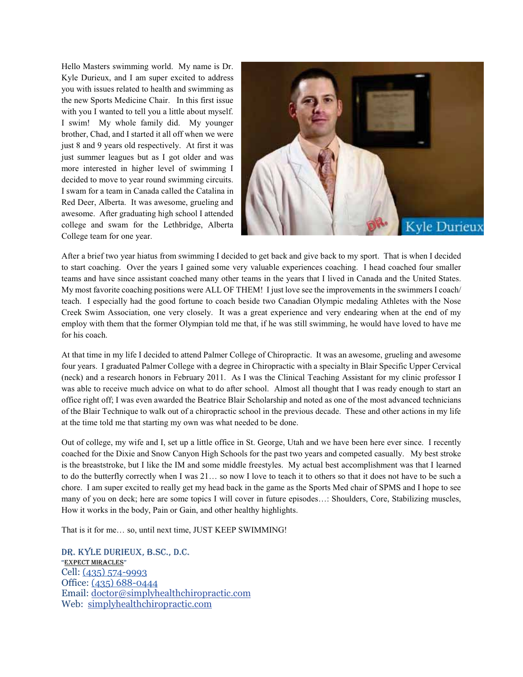Hello Masters swimming world. My name is Dr. Kyle Durieux, and I am super excited to address you with issues related to health and swimming as the new Sports Medicine Chair. In this first issue with you I wanted to tell you a little about myself. I swim! My whole family did. My younger brother, Chad, and I started it all off when we were just 8 and 9 years old respectively. At first it was just summer leagues but as I got older and was more interested in higher level of swimming I decided to move to year round swimming circuits. I swam for a team in Canada called the Catalina in Red Deer, Alberta. It was awesome, grueling and awesome. After graduating high school I attended college and swam for the Lethbridge, Alberta College team for one year.



After a brief two year hiatus from swimming I decided to get back and give back to my sport. That is when I decided to start coaching. Over the years I gained some very valuable experiences coaching. I head coached four smaller teams and have since assistant coached many other teams in the years that I lived in Canada and the United States. My most favorite coaching positions were ALL OF THEM! I just love see the improvements in the swimmers I coach/ teach. I especially had the good fortune to coach beside two Canadian Olympic medaling Athletes with the Nose Creek Swim Association, one very closely. It was a great experience and very endearing when at the end of my employ with them that the former Olympian told me that, if he was still swimming, he would have loved to have me for his coach.

At that time in my life I decided to attend Palmer College of Chiropractic. It was an awesome, grueling and awesome four years. I graduated Palmer College with a degree in Chiropractic with a specialty in Blair Specific Upper Cervical (neck) and a research honors in February 2011. As I was the Clinical Teaching Assistant for my clinic professor I was able to receive much advice on what to do after school. Almost all thought that I was ready enough to start an office right off; I was even awarded the Beatrice Blair Scholarship and noted as one of the most advanced technicians of the Blair Technique to walk out of a chiropractic school in the previous decade. These and other actions in my life at the time told me that starting my own was what needed to be done.

Out of college, my wife and I, set up a little office in St. George, Utah and we have been here ever since. I recently coached for the Dixie and Snow Canyon High Schools for the past two years and competed casually. My best stroke is the breaststroke, but I like the IM and some middle freestyles. My actual best accomplishment was that I learned to do the butterfly correctly when I was 21… so now I love to teach it to others so that it does not have to be such a chore. I am super excited to really get my head back in the game as the Sports Med chair of SPMS and I hope to see many of you on deck; here are some topics I will cover in future episodes…: Shoulders, Core, Stabilizing muscles, How it works in the body, Pain or Gain, and other healthy highlights.

That is it for me… so, until next time, JUST KEEP SWIMMING!

DR. KYLE DURIEUX, B.SC., D.C. "EXPECT MIRACLES" Cell: (435) 574-9993 Office: (435) 688-0444 Email: doctor@simplyhealthchiropractic.com Web: simplyhealthchiropractic.com